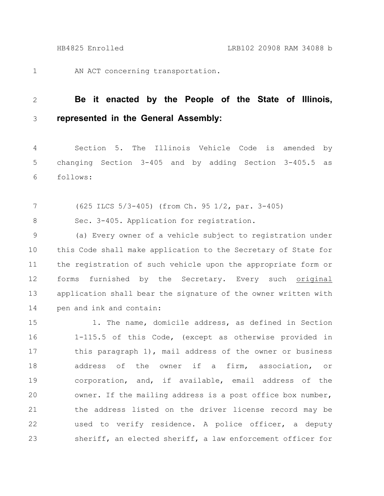1

AN ACT concerning transportation.

## **Be it enacted by the People of the State of Illinois, represented in the General Assembly:** 2 3

Section 5. The Illinois Vehicle Code is amended by changing Section 3-405 and by adding Section 3-405.5 as follows: 4 5 6

(625 ILCS 5/3-405) (from Ch. 95 1/2, par. 3-405) 7

Sec. 3-405. Application for registration. 8

(a) Every owner of a vehicle subject to registration under this Code shall make application to the Secretary of State for the registration of such vehicle upon the appropriate form or forms furnished by the Secretary. Every such original application shall bear the signature of the owner written with pen and ink and contain: 9 10 11 12 13 14

1. The name, domicile address, as defined in Section 1-115.5 of this Code, (except as otherwise provided in this paragraph 1), mail address of the owner or business address of the owner if a firm, association, or corporation, and, if available, email address of the owner. If the mailing address is a post office box number, the address listed on the driver license record may be used to verify residence. A police officer, a deputy sheriff, an elected sheriff, a law enforcement officer for 15 16 17 18 19 20 21 22 23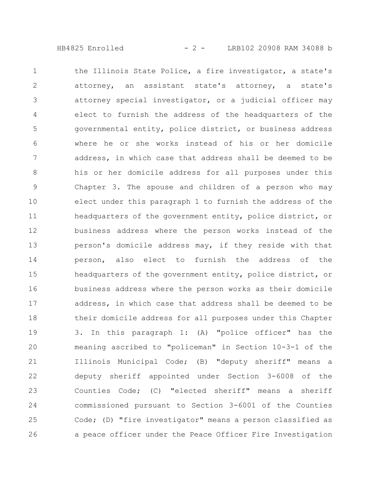HB4825 Enrolled - 2 - LRB102 20908 RAM 34088 b

the Illinois State Police, a fire investigator, a state's attorney, an assistant state's attorney, a state's attorney special investigator, or a judicial officer may elect to furnish the address of the headquarters of the governmental entity, police district, or business address where he or she works instead of his or her domicile address, in which case that address shall be deemed to be his or her domicile address for all purposes under this Chapter 3. The spouse and children of a person who may elect under this paragraph 1 to furnish the address of the headquarters of the government entity, police district, or business address where the person works instead of the person's domicile address may, if they reside with that person, also elect to furnish the address of the headquarters of the government entity, police district, or business address where the person works as their domicile address, in which case that address shall be deemed to be their domicile address for all purposes under this Chapter 3. In this paragraph 1: (A) "police officer" has the meaning ascribed to "policeman" in Section 10-3-1 of the Illinois Municipal Code; (B) "deputy sheriff" means a deputy sheriff appointed under Section 3-6008 of the Counties Code; (C) "elected sheriff" means a sheriff commissioned pursuant to Section 3-6001 of the Counties Code; (D) "fire investigator" means a person classified as a peace officer under the Peace Officer Fire Investigation 1 2 3 4 5 6 7 8 9 10 11 12 13 14 15 16 17 18 19 20 21 22 23 24 25 26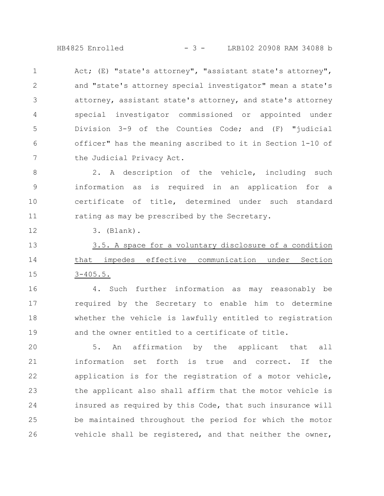HB4825 Enrolled - 3 - LRB102 20908 RAM 34088 b

Act; (E) "state's attorney", "assistant state's attorney", and "state's attorney special investigator" mean a state's attorney, assistant state's attorney, and state's attorney special investigator commissioned or appointed under Division 3-9 of the Counties Code; and (F) "judicial officer" has the meaning ascribed to it in Section 1-10 of the Judicial Privacy Act. 1 2 3 4 5 6 7

2. A description of the vehicle, including such information as is required in an application for a certificate of title, determined under such standard rating as may be prescribed by the Secretary. 8 9 10 11

3. (Blank).

12

3.5. A space for a voluntary disclosure of a condition that impedes effective communication under Section 3-405.5. 13 14 15

4. Such further information as may reasonably be required by the Secretary to enable him to determine whether the vehicle is lawfully entitled to registration and the owner entitled to a certificate of title. 16 17 18 19

5. An affirmation by the applicant that all information set forth is true and correct. If the application is for the registration of a motor vehicle, the applicant also shall affirm that the motor vehicle is insured as required by this Code, that such insurance will be maintained throughout the period for which the motor vehicle shall be registered, and that neither the owner, 20 21 22 23 24 25 26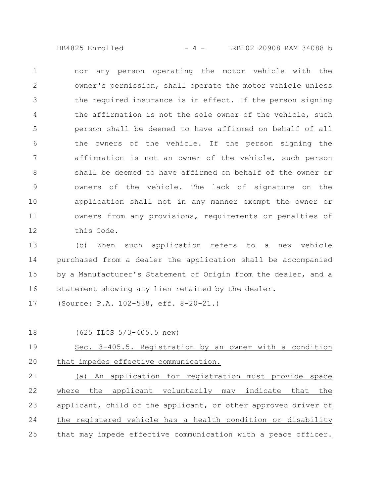HB4825 Enrolled - 4 - LRB102 20908 RAM 34088 b

nor any person operating the motor vehicle with the owner's permission, shall operate the motor vehicle unless the required insurance is in effect. If the person signing the affirmation is not the sole owner of the vehicle, such person shall be deemed to have affirmed on behalf of all the owners of the vehicle. If the person signing the affirmation is not an owner of the vehicle, such person shall be deemed to have affirmed on behalf of the owner or owners of the vehicle. The lack of signature on the application shall not in any manner exempt the owner or owners from any provisions, requirements or penalties of this Code. 1 2 3 4 5 6 7 8 9 10 11 12

(b) When such application refers to a new vehicle purchased from a dealer the application shall be accompanied by a Manufacturer's Statement of Origin from the dealer, and a statement showing any lien retained by the dealer. 13 14 15 16

(Source: P.A. 102-538, eff. 8-20-21.) 17

18

(625 ILCS 5/3-405.5 new)

Sec. 3-405.5. Registration by an owner with a condition that impedes effective communication. 19 20

(a) An application for registration must provide space where the applicant voluntarily may indicate that the applicant, child of the applicant, or other approved driver of the registered vehicle has a health condition or disability that may impede effective communication with a peace officer. 21 22 23 24 25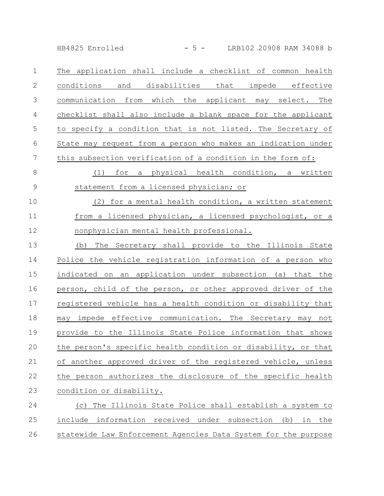HB4825 Enrolled - 5 - LRB102 20908 RAM 34088 b

The application shall include a checklist of common health conditions and disabilities that impede effective communication from which the applicant may select. The checklist shall also include a blank space for the applicant to specify a condition that is not listed. The Secretary of State may request from a person who makes an indication under this subsection verification of a condition in the form of: 1 2 3 4 5 6 7

(1) for a physical health condition, a written statement from a licensed physician; or 8 9

(2) for a mental health condition, a written statement from a licensed physician, a licensed psychologist, or a nonphysician mental health professional. 10 11 12

(b) The Secretary shall provide to the Illinois State Police the vehicle registration information of a person who indicated on an application under subsection (a) that the person, child of the person, or other approved driver of the registered vehicle has a health condition or disability that may impede effective communication. The Secretary may not provide to the Illinois State Police information that shows the person's specific health condition or disability, or that of another approved driver of the registered vehicle, unless the person authorizes the disclosure of the specific health condition or disability. 13 14 15 16 17 18 19 20 21 22 23

(c) The Illinois State Police shall establish a system to include information received under subsection (b) in the statewide Law Enforcement Agencies Data System for the purpose 24 25 26